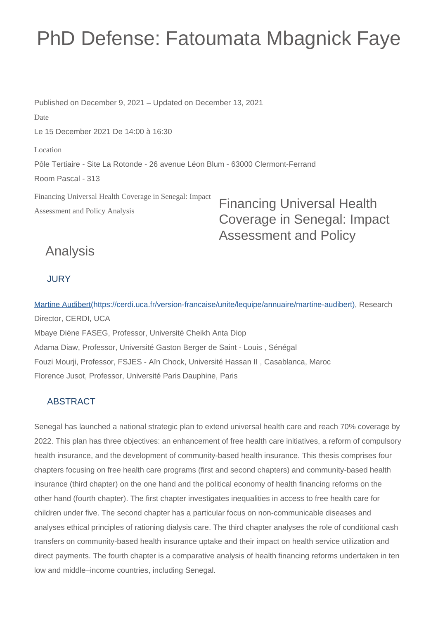# PhD Defense: Fatoumata Mbagnick Faye

Financing Universal Health Coverage in Senegal: Impact Assessment and Policy Analysis Published on December 9, 2021 – Updated on December 13, 2021 Date Le 15 December 2021 De 14:00 à 16:30 Location Pôle Tertiaire - Site La Rotonde - 26 avenue Léon Blum - 63000 Clermont-Ferrand Room Pascal - 313

Financing Universal Health Coverage in Senegal: Impact Assessment and Policy

## Analysis

#### **JURY**

[Martine Audibert\(https://cerdi.uca.fr/version-francaise/unite/lequipe/annuaire/martine-audibert\),](https://cerdi.uca.fr/version-francaise/unite/lequipe/annuaire/martine-audibert) Research Director, CERDI, UCA Mbaye Diène FASEG, Professor, Université Cheikh Anta Diop Adama Diaw, Professor, Université Gaston Berger de Saint - Louis , Sénégal Fouzi Mourji, Professor, FSJES - Aïn Chock, Université Hassan II , Casablanca, Maroc

Florence Jusot, Professor, Université Paris Dauphine, Paris

#### ABSTRACT

Senegal has launched a national strategic plan to extend universal health care and reach 70% coverage by 2022. This plan has three objectives: an enhancement of free health care initiatives, a reform of compulsory health insurance, and the development of community-based health insurance. This thesis comprises four chapters focusing on free health care programs (first and second chapters) and community-based health insurance (third chapter) on the one hand and the political economy of health financing reforms on the other hand (fourth chapter). The first chapter investigates inequalities in access to free health care for children under five. The second chapter has a particular focus on non-communicable diseases and analyses ethical principles of rationing dialysis care. The third chapter analyses the role of conditional cash transfers on community-based health insurance uptake and their impact on health service utilization and direct payments. The fourth chapter is a comparative analysis of health financing reforms undertaken in ten low and middle–income countries, including Senegal.